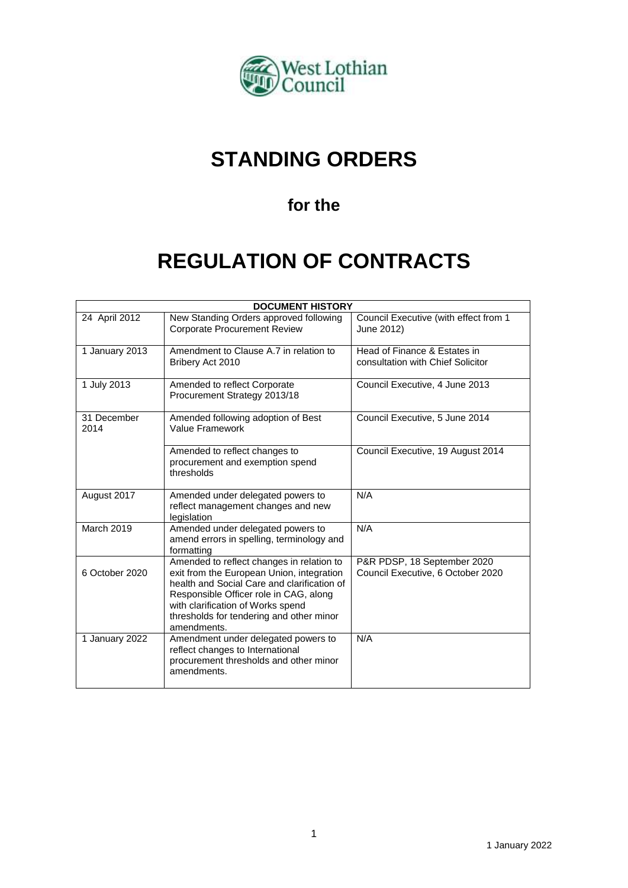

# **STANDING ORDERS**

# **for the**

# **REGULATION OF CONTRACTS**

| <b>DOCUMENT HISTORY</b> |                                                                                                                                                                                                                                                                                 |                                                                   |
|-------------------------|---------------------------------------------------------------------------------------------------------------------------------------------------------------------------------------------------------------------------------------------------------------------------------|-------------------------------------------------------------------|
| 24 April 2012           | New Standing Orders approved following<br><b>Corporate Procurement Review</b>                                                                                                                                                                                                   | Council Executive (with effect from 1<br>June 2012)               |
| 1 January 2013          | Amendment to Clause A.7 in relation to<br>Bribery Act 2010                                                                                                                                                                                                                      | Head of Finance & Estates in<br>consultation with Chief Solicitor |
| 1 July 2013             | Amended to reflect Corporate<br>Procurement Strategy 2013/18                                                                                                                                                                                                                    | Council Executive, 4 June 2013                                    |
| 31 December<br>2014     | Amended following adoption of Best<br>Value Framework                                                                                                                                                                                                                           | Council Executive, 5 June 2014                                    |
|                         | Amended to reflect changes to<br>procurement and exemption spend<br>thresholds                                                                                                                                                                                                  | Council Executive, 19 August 2014                                 |
| August 2017             | Amended under delegated powers to<br>reflect management changes and new<br>legislation                                                                                                                                                                                          | N/A                                                               |
| <b>March 2019</b>       | Amended under delegated powers to<br>amend errors in spelling, terminology and<br>formatting                                                                                                                                                                                    | N/A                                                               |
| 6 October 2020          | Amended to reflect changes in relation to<br>exit from the European Union, integration<br>health and Social Care and clarification of<br>Responsible Officer role in CAG, along<br>with clarification of Works spend<br>thresholds for tendering and other minor<br>amendments. | P&R PDSP, 18 September 2020<br>Council Executive, 6 October 2020  |
| 1 January 2022          | Amendment under delegated powers to<br>reflect changes to International<br>procurement thresholds and other minor<br>amendments.                                                                                                                                                | N/A                                                               |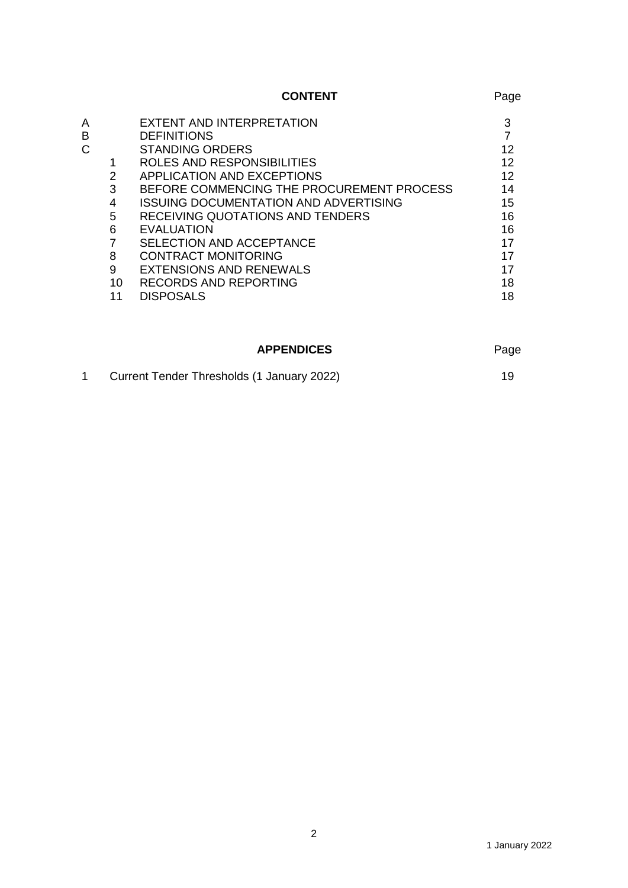|    |                                              | Page           |
|----|----------------------------------------------|----------------|
|    | EXTENT AND INTERPRETATION                    | 3              |
|    | <b>DEFINITIONS</b>                           |                |
|    | <b>STANDING ORDERS</b>                       | 12             |
|    | ROLES AND RESPONSIBILITIES                   | 12             |
| 2  | APPLICATION AND EXCEPTIONS                   | 12             |
| 3  | BEFORE COMMENCING THE PROCUREMENT PROCESS    | 14             |
| 4  | <b>ISSUING DOCUMENTATION AND ADVERTISING</b> | 15             |
| 5  | RECEIVING QUOTATIONS AND TENDERS             | 16             |
| 6  | <b>EVALUATION</b>                            | 16             |
|    | SELECTION AND ACCEPTANCE                     | 17             |
| 8  | <b>CONTRACT MONITORING</b>                   | 17             |
| 9  | EXTENSIONS AND RENEWALS                      | 17             |
| 10 | <b>RECORDS AND REPORTING</b>                 | 18             |
| 11 | <b>DISPOSALS</b>                             | 18             |
|    |                                              | <b>CONTENT</b> |

## APPENDICES Page

|  | Current Tender Thresholds (1 January 2022) |  |
|--|--------------------------------------------|--|
|--|--------------------------------------------|--|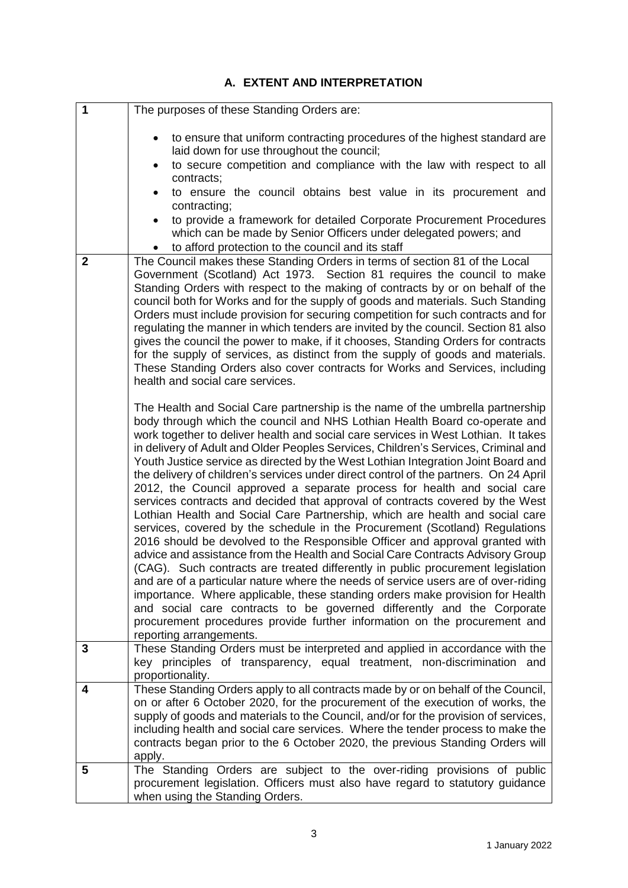# **A. EXTENT AND INTERPRETATION**

| 1              | The purposes of these Standing Orders are:                                                                                                                                                                                                                                                                                                                                                                                                                                                                                                                                                                                                                                                                                                                                                                                                                                                                                                                                                                                                                                                                                                                                                                                                                                                                                                                                                                                                                       |
|----------------|------------------------------------------------------------------------------------------------------------------------------------------------------------------------------------------------------------------------------------------------------------------------------------------------------------------------------------------------------------------------------------------------------------------------------------------------------------------------------------------------------------------------------------------------------------------------------------------------------------------------------------------------------------------------------------------------------------------------------------------------------------------------------------------------------------------------------------------------------------------------------------------------------------------------------------------------------------------------------------------------------------------------------------------------------------------------------------------------------------------------------------------------------------------------------------------------------------------------------------------------------------------------------------------------------------------------------------------------------------------------------------------------------------------------------------------------------------------|
|                | to ensure that uniform contracting procedures of the highest standard are<br>$\bullet$<br>laid down for use throughout the council;<br>to secure competition and compliance with the law with respect to all<br>$\bullet$<br>contracts;                                                                                                                                                                                                                                                                                                                                                                                                                                                                                                                                                                                                                                                                                                                                                                                                                                                                                                                                                                                                                                                                                                                                                                                                                          |
|                | to ensure the council obtains best value in its procurement and<br>contracting;<br>to provide a framework for detailed Corporate Procurement Procedures<br>which can be made by Senior Officers under delegated powers; and                                                                                                                                                                                                                                                                                                                                                                                                                                                                                                                                                                                                                                                                                                                                                                                                                                                                                                                                                                                                                                                                                                                                                                                                                                      |
|                | to afford protection to the council and its staff                                                                                                                                                                                                                                                                                                                                                                                                                                                                                                                                                                                                                                                                                                                                                                                                                                                                                                                                                                                                                                                                                                                                                                                                                                                                                                                                                                                                                |
| $\overline{2}$ | The Council makes these Standing Orders in terms of section 81 of the Local<br>Government (Scotland) Act 1973. Section 81 requires the council to make<br>Standing Orders with respect to the making of contracts by or on behalf of the<br>council both for Works and for the supply of goods and materials. Such Standing<br>Orders must include provision for securing competition for such contracts and for<br>regulating the manner in which tenders are invited by the council. Section 81 also<br>gives the council the power to make, if it chooses, Standing Orders for contracts<br>for the supply of services, as distinct from the supply of goods and materials.<br>These Standing Orders also cover contracts for Works and Services, including<br>health and social care services.                                                                                                                                                                                                                                                                                                                                                                                                                                                                                                                                                                                                                                                               |
|                | The Health and Social Care partnership is the name of the umbrella partnership<br>body through which the council and NHS Lothian Health Board co-operate and<br>work together to deliver health and social care services in West Lothian. It takes<br>in delivery of Adult and Older Peoples Services, Children's Services, Criminal and<br>Youth Justice service as directed by the West Lothian Integration Joint Board and<br>the delivery of children's services under direct control of the partners. On 24 April<br>2012, the Council approved a separate process for health and social care<br>services contracts and decided that approval of contracts covered by the West<br>Lothian Health and Social Care Partnership, which are health and social care<br>services, covered by the schedule in the Procurement (Scotland) Regulations<br>2016 should be devolved to the Responsible Officer and approval granted with<br>advice and assistance from the Health and Social Care Contracts Advisory Group<br>(CAG). Such contracts are treated differently in public procurement legislation<br>and are of a particular nature where the needs of service users are of over-riding<br>importance. Where applicable, these standing orders make provision for Health<br>and social care contracts to be governed differently and the Corporate<br>procurement procedures provide further information on the procurement and<br>reporting arrangements. |
| 3              | These Standing Orders must be interpreted and applied in accordance with the<br>key principles of transparency, equal treatment, non-discrimination and<br>proportionality.                                                                                                                                                                                                                                                                                                                                                                                                                                                                                                                                                                                                                                                                                                                                                                                                                                                                                                                                                                                                                                                                                                                                                                                                                                                                                      |
| 4              | These Standing Orders apply to all contracts made by or on behalf of the Council,<br>on or after 6 October 2020, for the procurement of the execution of works, the<br>supply of goods and materials to the Council, and/or for the provision of services,<br>including health and social care services. Where the tender process to make the<br>contracts began prior to the 6 October 2020, the previous Standing Orders will<br>apply.                                                                                                                                                                                                                                                                                                                                                                                                                                                                                                                                                                                                                                                                                                                                                                                                                                                                                                                                                                                                                        |
| 5              | The Standing Orders are subject to the over-riding provisions of public<br>procurement legislation. Officers must also have regard to statutory guidance<br>when using the Standing Orders.                                                                                                                                                                                                                                                                                                                                                                                                                                                                                                                                                                                                                                                                                                                                                                                                                                                                                                                                                                                                                                                                                                                                                                                                                                                                      |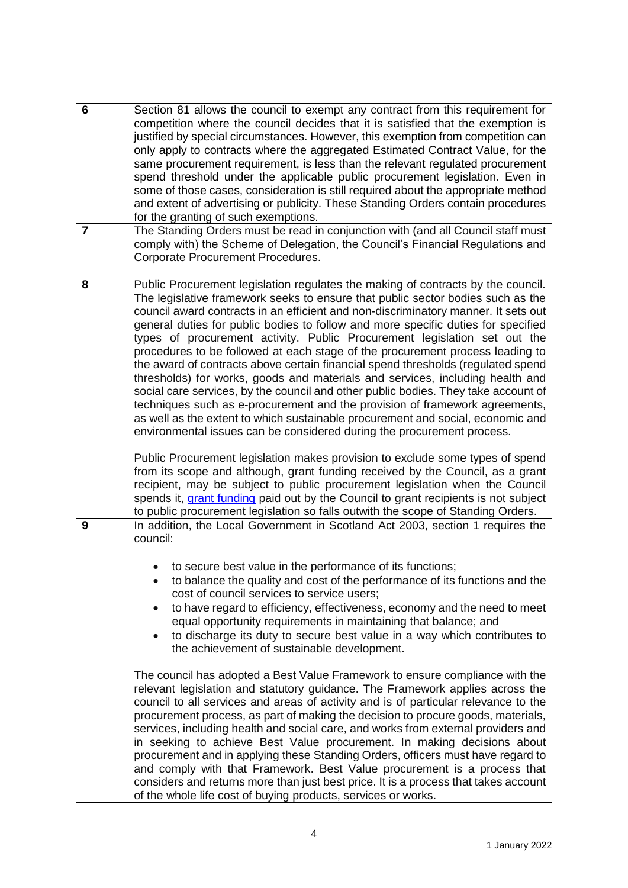| $6\phantom{1}$ | Section 81 allows the council to exempt any contract from this requirement for<br>competition where the council decides that it is satisfied that the exemption is<br>justified by special circumstances. However, this exemption from competition can<br>only apply to contracts where the aggregated Estimated Contract Value, for the<br>same procurement requirement, is less than the relevant regulated procurement<br>spend threshold under the applicable public procurement legislation. Even in<br>some of those cases, consideration is still required about the appropriate method<br>and extent of advertising or publicity. These Standing Orders contain procedures<br>for the granting of such exemptions.                                                                                                                                                                                                                                                                                                                                                                           |
|----------------|------------------------------------------------------------------------------------------------------------------------------------------------------------------------------------------------------------------------------------------------------------------------------------------------------------------------------------------------------------------------------------------------------------------------------------------------------------------------------------------------------------------------------------------------------------------------------------------------------------------------------------------------------------------------------------------------------------------------------------------------------------------------------------------------------------------------------------------------------------------------------------------------------------------------------------------------------------------------------------------------------------------------------------------------------------------------------------------------------|
| $\overline{7}$ | The Standing Orders must be read in conjunction with (and all Council staff must<br>comply with) the Scheme of Delegation, the Council's Financial Regulations and<br>Corporate Procurement Procedures.                                                                                                                                                                                                                                                                                                                                                                                                                                                                                                                                                                                                                                                                                                                                                                                                                                                                                              |
| 8              | Public Procurement legislation regulates the making of contracts by the council.<br>The legislative framework seeks to ensure that public sector bodies such as the<br>council award contracts in an efficient and non-discriminatory manner. It sets out<br>general duties for public bodies to follow and more specific duties for specified<br>types of procurement activity. Public Procurement legislation set out the<br>procedures to be followed at each stage of the procurement process leading to<br>the award of contracts above certain financial spend thresholds (regulated spend<br>thresholds) for works, goods and materials and services, including health and<br>social care services, by the council and other public bodies. They take account of<br>techniques such as e-procurement and the provision of framework agreements,<br>as well as the extent to which sustainable procurement and social, economic and<br>environmental issues can be considered during the procurement process.<br>Public Procurement legislation makes provision to exclude some types of spend |
|                | from its scope and although, grant funding received by the Council, as a grant<br>recipient, may be subject to public procurement legislation when the Council<br>spends it, grant funding paid out by the Council to grant recipients is not subject<br>to public procurement legislation so falls outwith the scope of Standing Orders.                                                                                                                                                                                                                                                                                                                                                                                                                                                                                                                                                                                                                                                                                                                                                            |
| 9              | In addition, the Local Government in Scotland Act 2003, section 1 requires the<br>council:                                                                                                                                                                                                                                                                                                                                                                                                                                                                                                                                                                                                                                                                                                                                                                                                                                                                                                                                                                                                           |
|                | to secure best value in the performance of its functions;<br>to balance the quality and cost of the performance of its functions and the<br>cost of council services to service users;<br>to have regard to efficiency, effectiveness, economy and the need to meet<br>equal opportunity requirements in maintaining that balance; and<br>to discharge its duty to secure best value in a way which contributes to<br>the achievement of sustainable development.                                                                                                                                                                                                                                                                                                                                                                                                                                                                                                                                                                                                                                    |
|                | The council has adopted a Best Value Framework to ensure compliance with the<br>relevant legislation and statutory guidance. The Framework applies across the<br>council to all services and areas of activity and is of particular relevance to the<br>procurement process, as part of making the decision to procure goods, materials,<br>services, including health and social care, and works from external providers and<br>in seeking to achieve Best Value procurement. In making decisions about<br>procurement and in applying these Standing Orders, officers must have regard to<br>and comply with that Framework. Best Value procurement is a process that<br>considers and returns more than just best price. It is a process that takes account<br>of the whole life cost of buying products, services or works.                                                                                                                                                                                                                                                                      |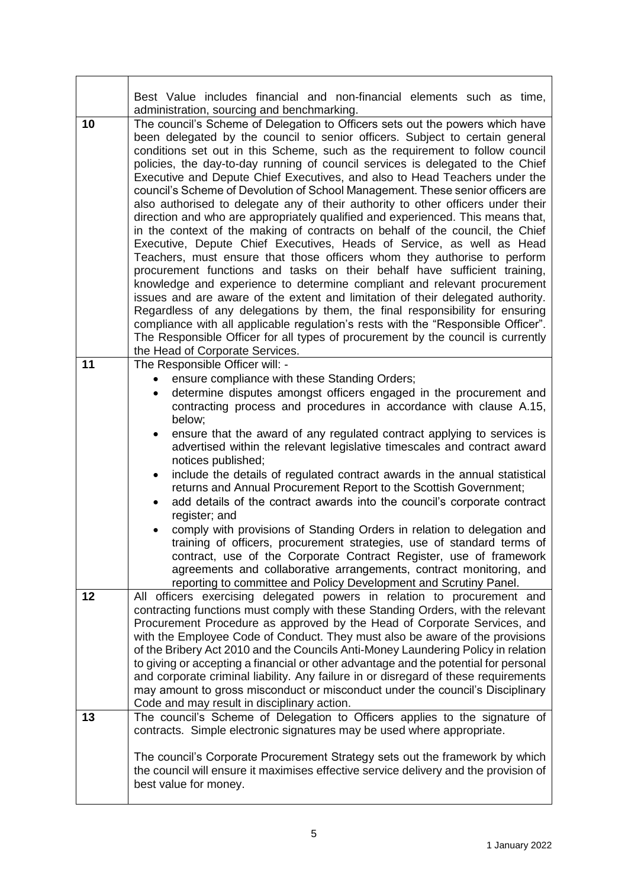|    | Best Value includes financial and non-financial elements such as time,<br>administration, sourcing and benchmarking.                                                                                                                                                                                                                                                                                                                                                                                                                                                                                                                                                                                                                                                                                                                                                                                                                                                                                                                                                                                                                                                                                                                                                                                                                                                                                                                                 |
|----|------------------------------------------------------------------------------------------------------------------------------------------------------------------------------------------------------------------------------------------------------------------------------------------------------------------------------------------------------------------------------------------------------------------------------------------------------------------------------------------------------------------------------------------------------------------------------------------------------------------------------------------------------------------------------------------------------------------------------------------------------------------------------------------------------------------------------------------------------------------------------------------------------------------------------------------------------------------------------------------------------------------------------------------------------------------------------------------------------------------------------------------------------------------------------------------------------------------------------------------------------------------------------------------------------------------------------------------------------------------------------------------------------------------------------------------------------|
| 10 | The council's Scheme of Delegation to Officers sets out the powers which have<br>been delegated by the council to senior officers. Subject to certain general<br>conditions set out in this Scheme, such as the requirement to follow council<br>policies, the day-to-day running of council services is delegated to the Chief<br>Executive and Depute Chief Executives, and also to Head Teachers under the<br>council's Scheme of Devolution of School Management. These senior officers are<br>also authorised to delegate any of their authority to other officers under their<br>direction and who are appropriately qualified and experienced. This means that,<br>in the context of the making of contracts on behalf of the council, the Chief<br>Executive, Depute Chief Executives, Heads of Service, as well as Head<br>Teachers, must ensure that those officers whom they authorise to perform<br>procurement functions and tasks on their behalf have sufficient training,<br>knowledge and experience to determine compliant and relevant procurement<br>issues and are aware of the extent and limitation of their delegated authority.<br>Regardless of any delegations by them, the final responsibility for ensuring<br>compliance with all applicable regulation's rests with the "Responsible Officer".<br>The Responsible Officer for all types of procurement by the council is currently<br>the Head of Corporate Services. |
| 11 | The Responsible Officer will: -<br>ensure compliance with these Standing Orders;<br>determine disputes amongst officers engaged in the procurement and<br>$\bullet$<br>contracting process and procedures in accordance with clause A.15,<br>below;<br>ensure that the award of any regulated contract applying to services is<br>٠<br>advertised within the relevant legislative timescales and contract award<br>notices published;<br>include the details of regulated contract awards in the annual statistical<br>$\bullet$<br>returns and Annual Procurement Report to the Scottish Government;<br>add details of the contract awards into the council's corporate contract<br>register; and<br>comply with provisions of Standing Orders in relation to delegation and<br>training of officers, procurement strategies, use of standard terms of<br>contract, use of the Corporate Contract Register, use of framework<br>agreements and collaborative arrangements, contract monitoring, and<br>reporting to committee and Policy Development and Scrutiny Panel.                                                                                                                                                                                                                                                                                                                                                                            |
| 12 | All officers exercising delegated powers in relation to procurement and<br>contracting functions must comply with these Standing Orders, with the relevant<br>Procurement Procedure as approved by the Head of Corporate Services, and<br>with the Employee Code of Conduct. They must also be aware of the provisions<br>of the Bribery Act 2010 and the Councils Anti-Money Laundering Policy in relation<br>to giving or accepting a financial or other advantage and the potential for personal<br>and corporate criminal liability. Any failure in or disregard of these requirements<br>may amount to gross misconduct or misconduct under the council's Disciplinary<br>Code and may result in disciplinary action.                                                                                                                                                                                                                                                                                                                                                                                                                                                                                                                                                                                                                                                                                                                           |
| 13 | The council's Scheme of Delegation to Officers applies to the signature of<br>contracts. Simple electronic signatures may be used where appropriate.<br>The council's Corporate Procurement Strategy sets out the framework by which<br>the council will ensure it maximises effective service delivery and the provision of<br>best value for money.                                                                                                                                                                                                                                                                                                                                                                                                                                                                                                                                                                                                                                                                                                                                                                                                                                                                                                                                                                                                                                                                                                |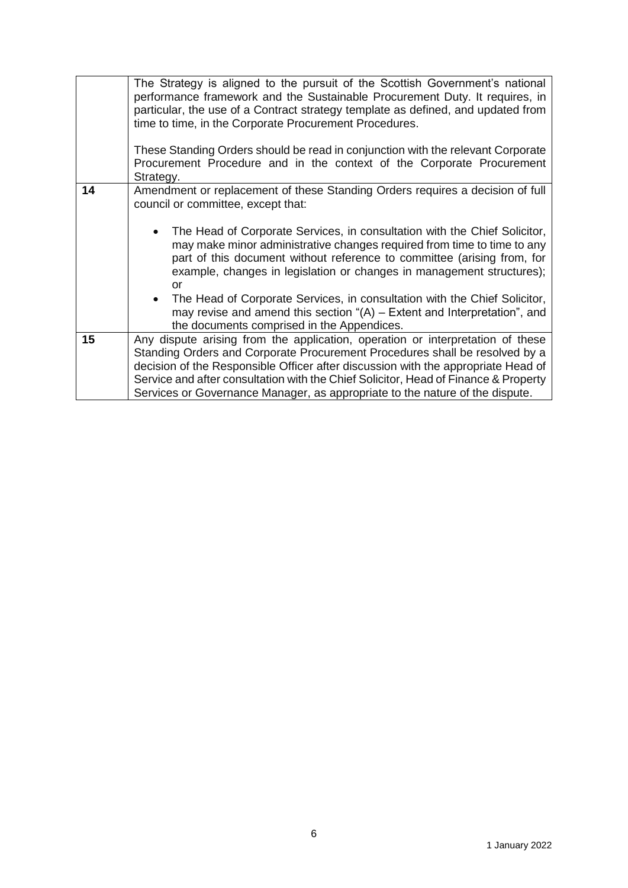|    | The Strategy is aligned to the pursuit of the Scottish Government's national<br>performance framework and the Sustainable Procurement Duty. It requires, in<br>particular, the use of a Contract strategy template as defined, and updated from<br>time to time, in the Corporate Procurement Procedures.                                                                                                                 |  |
|----|---------------------------------------------------------------------------------------------------------------------------------------------------------------------------------------------------------------------------------------------------------------------------------------------------------------------------------------------------------------------------------------------------------------------------|--|
|    |                                                                                                                                                                                                                                                                                                                                                                                                                           |  |
|    | These Standing Orders should be read in conjunction with the relevant Corporate                                                                                                                                                                                                                                                                                                                                           |  |
|    | Procurement Procedure and in the context of the Corporate Procurement<br>Strategy.                                                                                                                                                                                                                                                                                                                                        |  |
| 14 | Amendment or replacement of these Standing Orders requires a decision of full<br>council or committee, except that:                                                                                                                                                                                                                                                                                                       |  |
|    | The Head of Corporate Services, in consultation with the Chief Solicitor,<br>$\bullet$<br>may make minor administrative changes required from time to time to any<br>part of this document without reference to committee (arising from, for<br>example, changes in legislation or changes in management structures);<br>or                                                                                               |  |
|    | The Head of Corporate Services, in consultation with the Chief Solicitor,<br>$\bullet$<br>may revise and amend this section " $(A)$ – Extent and Interpretation", and<br>the documents comprised in the Appendices.                                                                                                                                                                                                       |  |
| 15 | Any dispute arising from the application, operation or interpretation of these<br>Standing Orders and Corporate Procurement Procedures shall be resolved by a<br>decision of the Responsible Officer after discussion with the appropriate Head of<br>Service and after consultation with the Chief Solicitor, Head of Finance & Property<br>Services or Governance Manager, as appropriate to the nature of the dispute. |  |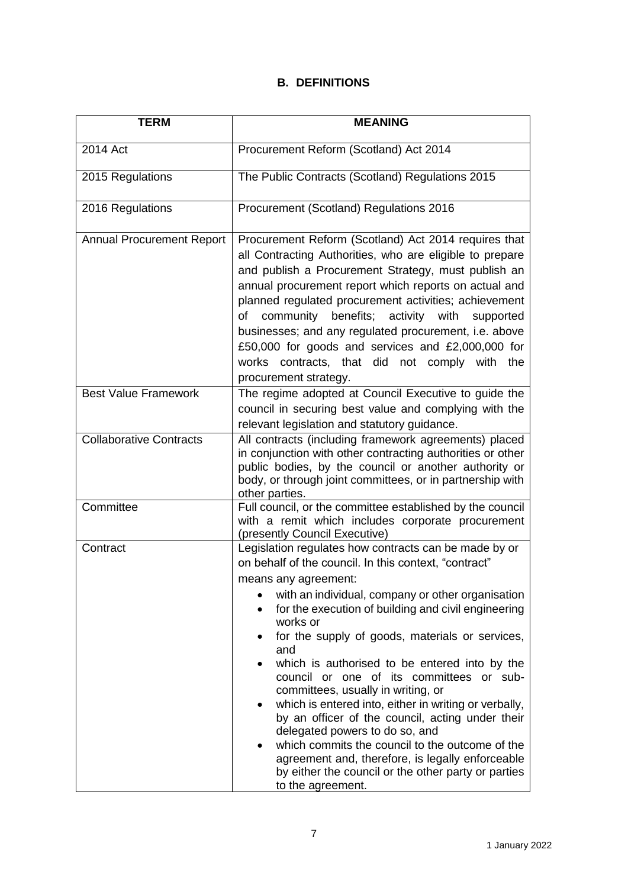## **B. DEFINITIONS**

| TERM                             | <b>MEANING</b>                                                                                                                                                                                                                                                                                                                                                                                                                                                                                                                                                                                                                                                                                                                                                                                |
|----------------------------------|-----------------------------------------------------------------------------------------------------------------------------------------------------------------------------------------------------------------------------------------------------------------------------------------------------------------------------------------------------------------------------------------------------------------------------------------------------------------------------------------------------------------------------------------------------------------------------------------------------------------------------------------------------------------------------------------------------------------------------------------------------------------------------------------------|
| 2014 Act                         | Procurement Reform (Scotland) Act 2014                                                                                                                                                                                                                                                                                                                                                                                                                                                                                                                                                                                                                                                                                                                                                        |
| 2015 Regulations                 | The Public Contracts (Scotland) Regulations 2015                                                                                                                                                                                                                                                                                                                                                                                                                                                                                                                                                                                                                                                                                                                                              |
| 2016 Regulations                 | Procurement (Scotland) Regulations 2016                                                                                                                                                                                                                                                                                                                                                                                                                                                                                                                                                                                                                                                                                                                                                       |
| <b>Annual Procurement Report</b> | Procurement Reform (Scotland) Act 2014 requires that<br>all Contracting Authorities, who are eligible to prepare<br>and publish a Procurement Strategy, must publish an<br>annual procurement report which reports on actual and<br>planned regulated procurement activities; achievement<br>benefits; activity with<br>of<br>community<br>supported<br>businesses; and any regulated procurement, i.e. above<br>£50,000 for goods and services and £2,000,000 for<br>works contracts, that did not comply with the<br>procurement strategy.                                                                                                                                                                                                                                                  |
| <b>Best Value Framework</b>      | The regime adopted at Council Executive to guide the<br>council in securing best value and complying with the<br>relevant legislation and statutory guidance.                                                                                                                                                                                                                                                                                                                                                                                                                                                                                                                                                                                                                                 |
| <b>Collaborative Contracts</b>   | All contracts (including framework agreements) placed<br>in conjunction with other contracting authorities or other<br>public bodies, by the council or another authority or<br>body, or through joint committees, or in partnership with<br>other parties.                                                                                                                                                                                                                                                                                                                                                                                                                                                                                                                                   |
| Committee                        | Full council, or the committee established by the council<br>with a remit which includes corporate procurement<br>(presently Council Executive)                                                                                                                                                                                                                                                                                                                                                                                                                                                                                                                                                                                                                                               |
| Contract                         | Legislation regulates how contracts can be made by or<br>on behalf of the council. In this context, "contract"<br>means any agreement:<br>with an individual, company or other organisation<br>for the execution of building and civil engineering<br>works or<br>for the supply of goods, materials or services,<br>and<br>which is authorised to be entered into by the<br>council or one of its committees or sub-<br>committees, usually in writing, or<br>which is entered into, either in writing or verbally,<br>by an officer of the council, acting under their<br>delegated powers to do so, and<br>which commits the council to the outcome of the<br>agreement and, therefore, is legally enforceable<br>by either the council or the other party or parties<br>to the agreement. |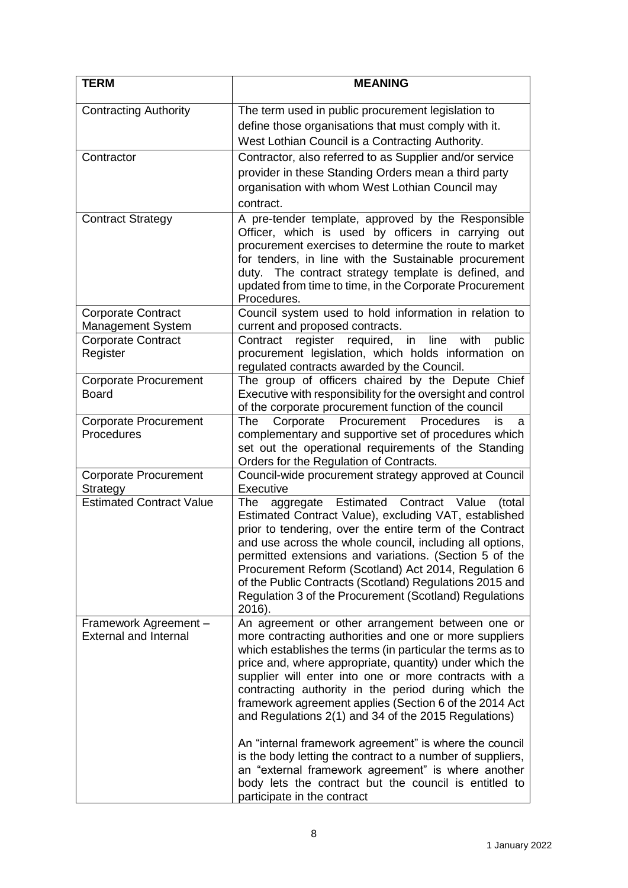| <b>TERM</b>                                           | <b>MEANING</b>                                                                                                                                                                                                                                                                                                                                                                                                                                                                           |
|-------------------------------------------------------|------------------------------------------------------------------------------------------------------------------------------------------------------------------------------------------------------------------------------------------------------------------------------------------------------------------------------------------------------------------------------------------------------------------------------------------------------------------------------------------|
| <b>Contracting Authority</b>                          | The term used in public procurement legislation to<br>define those organisations that must comply with it.<br>West Lothian Council is a Contracting Authority.                                                                                                                                                                                                                                                                                                                           |
| Contractor                                            | Contractor, also referred to as Supplier and/or service<br>provider in these Standing Orders mean a third party<br>organisation with whom West Lothian Council may<br>contract.                                                                                                                                                                                                                                                                                                          |
| <b>Contract Strategy</b>                              | A pre-tender template, approved by the Responsible<br>Officer, which is used by officers in carrying out<br>procurement exercises to determine the route to market<br>for tenders, in line with the Sustainable procurement<br>duty. The contract strategy template is defined, and<br>updated from time to time, in the Corporate Procurement<br>Procedures.                                                                                                                            |
| <b>Corporate Contract</b>                             | Council system used to hold information in relation to                                                                                                                                                                                                                                                                                                                                                                                                                                   |
| Management System                                     | current and proposed contracts.                                                                                                                                                                                                                                                                                                                                                                                                                                                          |
| <b>Corporate Contract</b><br>Register                 | register<br>required, in<br>line<br>with<br>Contract<br>public<br>procurement legislation, which holds information on<br>regulated contracts awarded by the Council.                                                                                                                                                                                                                                                                                                                     |
| <b>Corporate Procurement</b><br><b>Board</b>          | The group of officers chaired by the Depute Chief<br>Executive with responsibility for the oversight and control<br>of the corporate procurement function of the council                                                                                                                                                                                                                                                                                                                 |
| <b>Corporate Procurement</b><br>Procedures            | Corporate Procurement<br>The<br>Procedures<br>İS<br>a<br>complementary and supportive set of procedures which<br>set out the operational requirements of the Standing<br>Orders for the Regulation of Contracts.                                                                                                                                                                                                                                                                         |
| <b>Corporate Procurement</b><br>Strategy              | Council-wide procurement strategy approved at Council<br>Executive                                                                                                                                                                                                                                                                                                                                                                                                                       |
| <b>Estimated Contract Value</b>                       | Estimated Contract Value<br>(total<br>The<br>aggregate<br>Estimated Contract Value), excluding VAT, established<br>prior to tendering, over the entire term of the Contract<br>and use across the whole council, including all options,<br>permitted extensions and variations. (Section 5 of the<br>Procurement Reform (Scotland) Act 2014, Regulation 6<br>of the Public Contracts (Scotland) Regulations 2015 and<br>Regulation 3 of the Procurement (Scotland) Regulations<br>2016). |
| Framework Agreement -<br><b>External and Internal</b> | An agreement or other arrangement between one or<br>more contracting authorities and one or more suppliers<br>which establishes the terms (in particular the terms as to<br>price and, where appropriate, quantity) under which the<br>supplier will enter into one or more contracts with a<br>contracting authority in the period during which the<br>framework agreement applies (Section 6 of the 2014 Act<br>and Regulations 2(1) and 34 of the 2015 Regulations)                   |
|                                                       | An "internal framework agreement" is where the council<br>is the body letting the contract to a number of suppliers,<br>an "external framework agreement" is where another<br>body lets the contract but the council is entitled to<br>participate in the contract                                                                                                                                                                                                                       |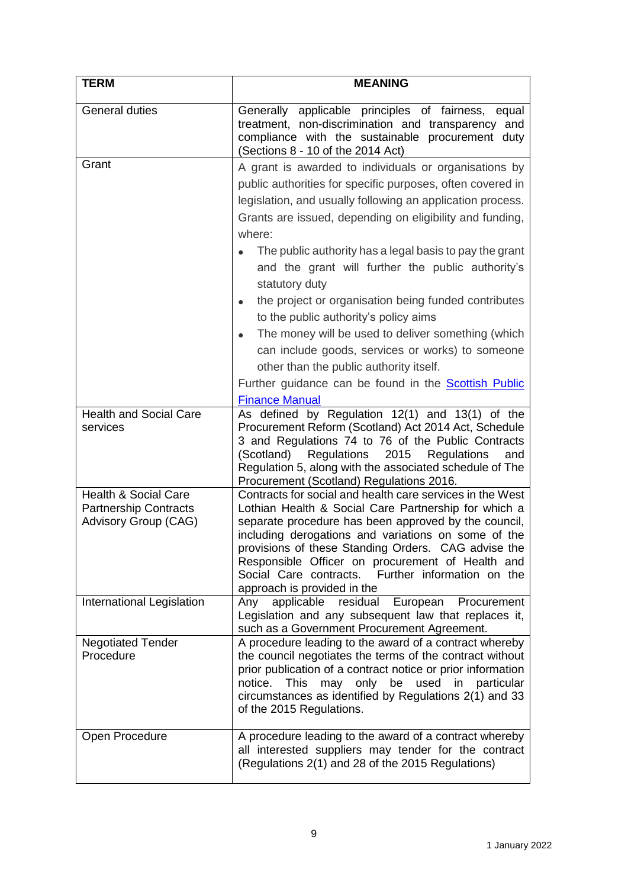| <b>TERM</b>                                                                             | <b>MEANING</b>                                                                                                                                                                                                                                                                                                                                                                                                                                                                                                                                                                                                                                                                                                                          |
|-----------------------------------------------------------------------------------------|-----------------------------------------------------------------------------------------------------------------------------------------------------------------------------------------------------------------------------------------------------------------------------------------------------------------------------------------------------------------------------------------------------------------------------------------------------------------------------------------------------------------------------------------------------------------------------------------------------------------------------------------------------------------------------------------------------------------------------------------|
| <b>General duties</b>                                                                   | Generally applicable principles of fairness, equal<br>treatment, non-discrimination and transparency and<br>compliance with the sustainable procurement duty<br>(Sections 8 - 10 of the 2014 Act)                                                                                                                                                                                                                                                                                                                                                                                                                                                                                                                                       |
| Grant                                                                                   | A grant is awarded to individuals or organisations by<br>public authorities for specific purposes, often covered in<br>legislation, and usually following an application process.<br>Grants are issued, depending on eligibility and funding,<br>where:<br>The public authority has a legal basis to pay the grant<br>and the grant will further the public authority's<br>statutory duty<br>the project or organisation being funded contributes<br>to the public authority's policy aims<br>The money will be used to deliver something (which<br>can include goods, services or works) to someone<br>other than the public authority itself.<br>Further guidance can be found in the <b>Scottish Public</b><br><b>Finance Manual</b> |
| <b>Health and Social Care</b><br>services                                               | As defined by Regulation 12(1) and 13(1) of the<br>Procurement Reform (Scotland) Act 2014 Act, Schedule<br>3 and Regulations 74 to 76 of the Public Contracts<br>(Scotland)<br>Regulations<br>2015<br>Regulations<br>and<br>Regulation 5, along with the associated schedule of The<br>Procurement (Scotland) Regulations 2016.                                                                                                                                                                                                                                                                                                                                                                                                         |
| <b>Health &amp; Social Care</b><br><b>Partnership Contracts</b><br>Advisory Group (CAG) | Contracts for social and health care services in the West<br>Lothian Health & Social Care Partnership for which a<br>separate procedure has been approved by the council,<br>including derogations and variations on some of the<br>provisions of these Standing Orders. CAG advise the<br>Responsible Officer on procurement of Health and<br>Further information on the<br>Social Care contracts.<br>approach is provided in the                                                                                                                                                                                                                                                                                                      |
| International Legislation                                                               | residual<br>European Procurement<br>Any<br>applicable<br>Legislation and any subsequent law that replaces it,<br>such as a Government Procurement Agreement.                                                                                                                                                                                                                                                                                                                                                                                                                                                                                                                                                                            |
| <b>Negotiated Tender</b><br>Procedure                                                   | A procedure leading to the award of a contract whereby<br>the council negotiates the terms of the contract without<br>prior publication of a contract notice or prior information<br>notice.<br><b>This</b><br>may only<br>be<br>used in<br>particular<br>circumstances as identified by Regulations 2(1) and 33<br>of the 2015 Regulations.                                                                                                                                                                                                                                                                                                                                                                                            |
| Open Procedure                                                                          | A procedure leading to the award of a contract whereby<br>all interested suppliers may tender for the contract<br>(Regulations 2(1) and 28 of the 2015 Regulations)                                                                                                                                                                                                                                                                                                                                                                                                                                                                                                                                                                     |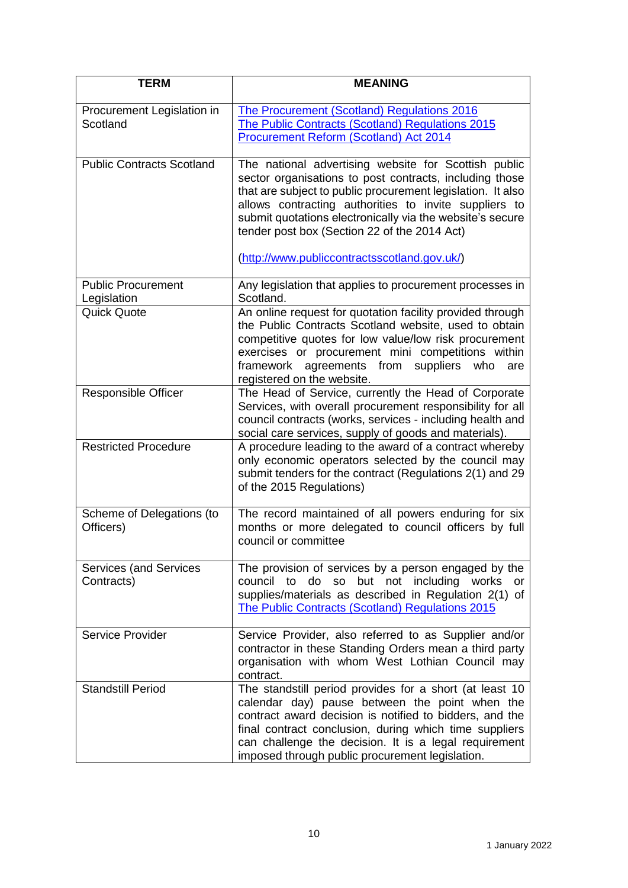| <b>TERM</b>                                 | <b>MEANING</b>                                                                                                                                                                                                                                                                                                                                                                                       |
|---------------------------------------------|------------------------------------------------------------------------------------------------------------------------------------------------------------------------------------------------------------------------------------------------------------------------------------------------------------------------------------------------------------------------------------------------------|
| Procurement Legislation in<br>Scotland      | The Procurement (Scotland) Regulations 2016<br>The Public Contracts (Scotland) Regulations 2015<br><b>Procurement Reform (Scotland) Act 2014</b>                                                                                                                                                                                                                                                     |
| <b>Public Contracts Scotland</b>            | The national advertising website for Scottish public<br>sector organisations to post contracts, including those<br>that are subject to public procurement legislation. It also<br>allows contracting authorities to invite suppliers to<br>submit quotations electronically via the website's secure<br>tender post box (Section 22 of the 2014 Act)<br>(http://www.publiccontractsscotland.gov.uk/) |
| <b>Public Procurement</b><br>Legislation    | Any legislation that applies to procurement processes in<br>Scotland.                                                                                                                                                                                                                                                                                                                                |
| <b>Quick Quote</b>                          | An online request for quotation facility provided through<br>the Public Contracts Scotland website, used to obtain<br>competitive quotes for low value/low risk procurement<br>exercises or procurement mini competitions within<br>agreements from<br>framework<br>suppliers<br>who<br>are<br>registered on the website.                                                                            |
| <b>Responsible Officer</b>                  | The Head of Service, currently the Head of Corporate<br>Services, with overall procurement responsibility for all<br>council contracts (works, services - including health and<br>social care services, supply of goods and materials).                                                                                                                                                              |
| <b>Restricted Procedure</b>                 | A procedure leading to the award of a contract whereby<br>only economic operators selected by the council may<br>submit tenders for the contract (Regulations 2(1) and 29<br>of the 2015 Regulations)                                                                                                                                                                                                |
| Scheme of Delegations (to<br>Officers)      | The record maintained of all powers enduring for six<br>months or more delegated to council officers by full<br>council or committee                                                                                                                                                                                                                                                                 |
| <b>Services (and Services</b><br>Contracts) | The provision of services by a person engaged by the<br>to do so but not including works<br>council<br>or<br>supplies/materials as described in Regulation 2(1) of<br>The Public Contracts (Scotland) Regulations 2015                                                                                                                                                                               |
| Service Provider                            | Service Provider, also referred to as Supplier and/or<br>contractor in these Standing Orders mean a third party<br>organisation with whom West Lothian Council may<br>contract.                                                                                                                                                                                                                      |
| <b>Standstill Period</b>                    | The standstill period provides for a short (at least 10<br>calendar day) pause between the point when the<br>contract award decision is notified to bidders, and the<br>final contract conclusion, during which time suppliers<br>can challenge the decision. It is a legal requirement<br>imposed through public procurement legislation.                                                           |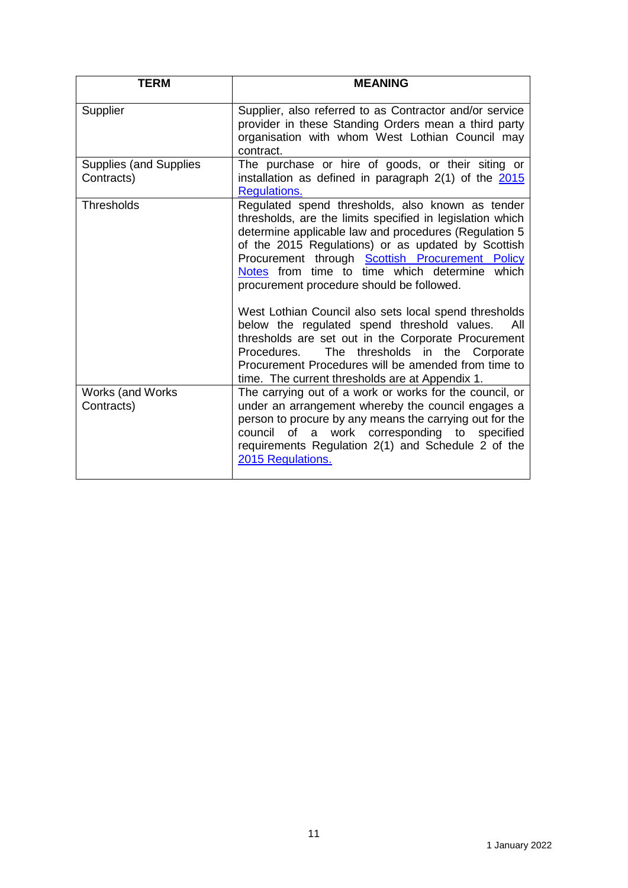| <b>TERM</b>                                 | <b>MEANING</b>                                                                                                                                                                                                                                                                                                                                                                                                                                                                                      |
|---------------------------------------------|-----------------------------------------------------------------------------------------------------------------------------------------------------------------------------------------------------------------------------------------------------------------------------------------------------------------------------------------------------------------------------------------------------------------------------------------------------------------------------------------------------|
| Supplier                                    | Supplier, also referred to as Contractor and/or service<br>provider in these Standing Orders mean a third party<br>organisation with whom West Lothian Council may<br>contract.                                                                                                                                                                                                                                                                                                                     |
| <b>Supplies (and Supplies</b><br>Contracts) | The purchase or hire of goods, or their siting or<br>installation as defined in paragraph 2(1) of the 2015<br>Regulations.                                                                                                                                                                                                                                                                                                                                                                          |
| Thresholds                                  | Regulated spend thresholds, also known as tender<br>thresholds, are the limits specified in legislation which<br>determine applicable law and procedures (Regulation 5<br>of the 2015 Regulations) or as updated by Scottish<br>Procurement through <b>Scottish Procurement Policy</b><br>Notes from time to time which determine which<br>procurement procedure should be followed.<br>West Lothian Council also sets local spend thresholds<br>below the regulated spend threshold values.<br>All |
|                                             | thresholds are set out in the Corporate Procurement<br>The thresholds in the Corporate<br>Procedures.<br>Procurement Procedures will be amended from time to<br>time. The current thresholds are at Appendix 1.                                                                                                                                                                                                                                                                                     |
| Works (and Works<br>Contracts)              | The carrying out of a work or works for the council, or<br>under an arrangement whereby the council engages a<br>person to procure by any means the carrying out for the<br><b>of</b><br>work corresponding to specified<br>council<br>a<br>requirements Regulation 2(1) and Schedule 2 of the<br>2015 Regulations.                                                                                                                                                                                 |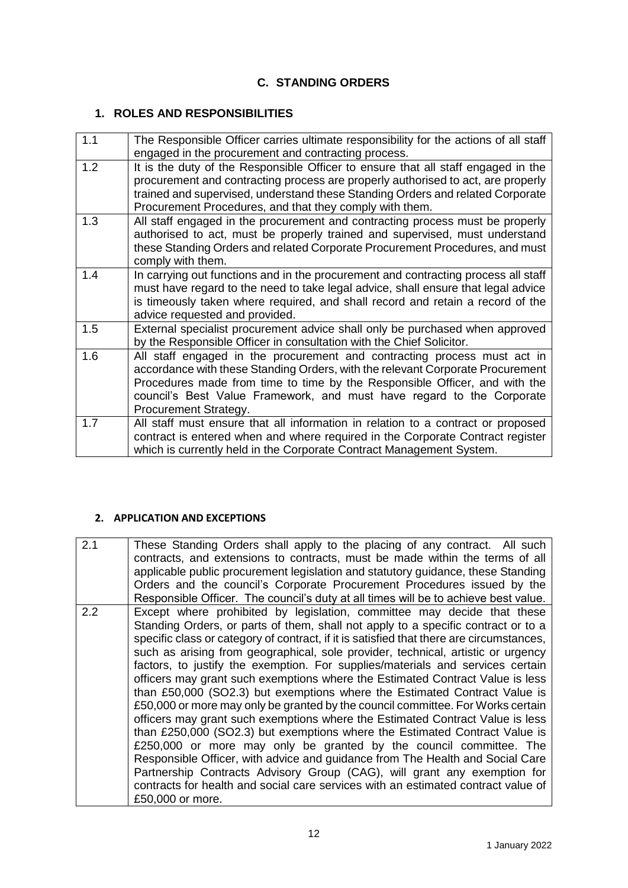## **C. STANDING ORDERS**

# **1. ROLES AND RESPONSIBILITIES**

| 1.1 | The Responsible Officer carries ultimate responsibility for the actions of all staff<br>engaged in the procurement and contracting process.                                                                                                                                                                                                |
|-----|--------------------------------------------------------------------------------------------------------------------------------------------------------------------------------------------------------------------------------------------------------------------------------------------------------------------------------------------|
| 1.2 | It is the duty of the Responsible Officer to ensure that all staff engaged in the<br>procurement and contracting process are properly authorised to act, are properly<br>trained and supervised, understand these Standing Orders and related Corporate<br>Procurement Procedures, and that they comply with them.                         |
| 1.3 | All staff engaged in the procurement and contracting process must be properly<br>authorised to act, must be properly trained and supervised, must understand<br>these Standing Orders and related Corporate Procurement Procedures, and must<br>comply with them.                                                                          |
| 1.4 | In carrying out functions and in the procurement and contracting process all staff<br>must have regard to the need to take legal advice, shall ensure that legal advice<br>is timeously taken where required, and shall record and retain a record of the<br>advice requested and provided.                                                |
| 1.5 | External specialist procurement advice shall only be purchased when approved<br>by the Responsible Officer in consultation with the Chief Solicitor.                                                                                                                                                                                       |
| 1.6 | All staff engaged in the procurement and contracting process must act in<br>accordance with these Standing Orders, with the relevant Corporate Procurement<br>Procedures made from time to time by the Responsible Officer, and with the<br>council's Best Value Framework, and must have regard to the Corporate<br>Procurement Strategy. |
| 1.7 | All staff must ensure that all information in relation to a contract or proposed<br>contract is entered when and where required in the Corporate Contract register<br>which is currently held in the Corporate Contract Management System.                                                                                                 |

#### **2. APPLICATION AND EXCEPTIONS**

| 2.1 | These Standing Orders shall apply to the placing of any contract. All such<br>contracts, and extensions to contracts, must be made within the terms of all<br>applicable public procurement legislation and statutory guidance, these Standing<br>Orders and the council's Corporate Procurement Procedures issued by the<br>Responsible Officer. The council's duty at all times will be to achieve best value.                                                                                                                                                                                                                                                                                                                                                                                                                                                                                                                                                                                                                                                                                                                                                                           |
|-----|--------------------------------------------------------------------------------------------------------------------------------------------------------------------------------------------------------------------------------------------------------------------------------------------------------------------------------------------------------------------------------------------------------------------------------------------------------------------------------------------------------------------------------------------------------------------------------------------------------------------------------------------------------------------------------------------------------------------------------------------------------------------------------------------------------------------------------------------------------------------------------------------------------------------------------------------------------------------------------------------------------------------------------------------------------------------------------------------------------------------------------------------------------------------------------------------|
| 2.2 | Except where prohibited by legislation, committee may decide that these<br>Standing Orders, or parts of them, shall not apply to a specific contract or to a<br>specific class or category of contract, if it is satisfied that there are circumstances,<br>such as arising from geographical, sole provider, technical, artistic or urgency<br>factors, to justify the exemption. For supplies/materials and services certain<br>officers may grant such exemptions where the Estimated Contract Value is less<br>than £50,000 (SO2.3) but exemptions where the Estimated Contract Value is<br>£50,000 or more may only be granted by the council committee. For Works certain<br>officers may grant such exemptions where the Estimated Contract Value is less<br>than £250,000 (SO2.3) but exemptions where the Estimated Contract Value is<br>£250,000 or more may only be granted by the council committee. The<br>Responsible Officer, with advice and guidance from The Health and Social Care<br>Partnership Contracts Advisory Group (CAG), will grant any exemption for<br>contracts for health and social care services with an estimated contract value of<br>£50,000 or more. |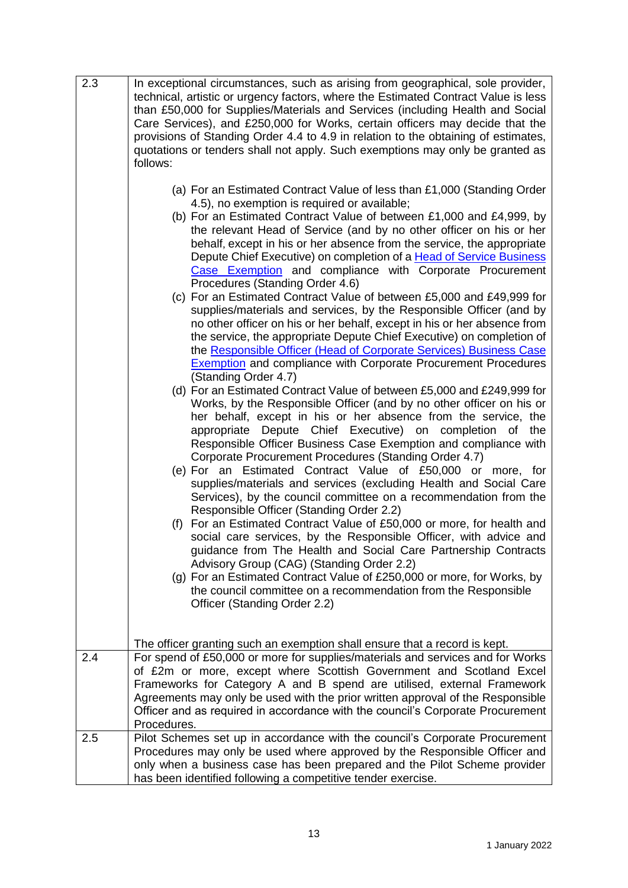| 2.3 | In exceptional circumstances, such as arising from geographical, sole provider,<br>technical, artistic or urgency factors, where the Estimated Contract Value is less<br>than £50,000 for Supplies/Materials and Services (including Health and Social<br>Care Services), and £250,000 for Works, certain officers may decide that the<br>provisions of Standing Order 4.4 to 4.9 in relation to the obtaining of estimates,<br>quotations or tenders shall not apply. Such exemptions may only be granted as<br>follows:                                                                                                                                                                                                                                                                                                                                                                                                                                                                                                                                                                                                                                                                                                                                                                                                                                                                                                                                                                                                                                                                                                                                                                                                                                                                                                                                                                                                                                                                                                                                                                                                 |
|-----|---------------------------------------------------------------------------------------------------------------------------------------------------------------------------------------------------------------------------------------------------------------------------------------------------------------------------------------------------------------------------------------------------------------------------------------------------------------------------------------------------------------------------------------------------------------------------------------------------------------------------------------------------------------------------------------------------------------------------------------------------------------------------------------------------------------------------------------------------------------------------------------------------------------------------------------------------------------------------------------------------------------------------------------------------------------------------------------------------------------------------------------------------------------------------------------------------------------------------------------------------------------------------------------------------------------------------------------------------------------------------------------------------------------------------------------------------------------------------------------------------------------------------------------------------------------------------------------------------------------------------------------------------------------------------------------------------------------------------------------------------------------------------------------------------------------------------------------------------------------------------------------------------------------------------------------------------------------------------------------------------------------------------------------------------------------------------------------------------------------------------|
|     | (a) For an Estimated Contract Value of less than £1,000 (Standing Order<br>4.5), no exemption is required or available;<br>(b) For an Estimated Contract Value of between £1,000 and £4,999, by<br>the relevant Head of Service (and by no other officer on his or her<br>behalf, except in his or her absence from the service, the appropriate<br>Depute Chief Executive) on completion of a <b>Head of Service Business</b><br>Case Exemption and compliance with Corporate Procurement<br>Procedures (Standing Order 4.6)<br>(c) For an Estimated Contract Value of between £5,000 and £49,999 for<br>supplies/materials and services, by the Responsible Officer (and by<br>no other officer on his or her behalf, except in his or her absence from<br>the service, the appropriate Depute Chief Executive) on completion of<br>the Responsible Officer (Head of Corporate Services) Business Case<br><b>Exemption</b> and compliance with Corporate Procurement Procedures<br>(Standing Order 4.7)<br>(d) For an Estimated Contract Value of between £5,000 and £249,999 for<br>Works, by the Responsible Officer (and by no other officer on his or<br>her behalf, except in his or her absence from the service, the<br>Depute Chief Executive) on completion<br>appropriate<br>of the<br>Responsible Officer Business Case Exemption and compliance with<br>Corporate Procurement Procedures (Standing Order 4.7)<br>(e) For an Estimated Contract Value of £50,000 or more, for<br>supplies/materials and services (excluding Health and Social Care<br>Services), by the council committee on a recommendation from the<br>Responsible Officer (Standing Order 2.2)<br>(f) For an Estimated Contract Value of £50,000 or more, for health and<br>social care services, by the Responsible Officer, with advice and<br>guidance from The Health and Social Care Partnership Contracts<br>Advisory Group (CAG) (Standing Order 2.2)<br>(g) For an Estimated Contract Value of £250,000 or more, for Works, by<br>the council committee on a recommendation from the Responsible<br>Officer (Standing Order 2.2) |
| 2.4 | The officer granting such an exemption shall ensure that a record is kept.<br>For spend of £50,000 or more for supplies/materials and services and for Works<br>of £2m or more, except where Scottish Government and Scotland Excel<br>Frameworks for Category A and B spend are utilised, external Framework<br>Agreements may only be used with the prior written approval of the Responsible<br>Officer and as required in accordance with the council's Corporate Procurement<br>Procedures.                                                                                                                                                                                                                                                                                                                                                                                                                                                                                                                                                                                                                                                                                                                                                                                                                                                                                                                                                                                                                                                                                                                                                                                                                                                                                                                                                                                                                                                                                                                                                                                                                          |
| 2.5 | Pilot Schemes set up in accordance with the council's Corporate Procurement<br>Procedures may only be used where approved by the Responsible Officer and<br>only when a business case has been prepared and the Pilot Scheme provider<br>has been identified following a competitive tender exercise.                                                                                                                                                                                                                                                                                                                                                                                                                                                                                                                                                                                                                                                                                                                                                                                                                                                                                                                                                                                                                                                                                                                                                                                                                                                                                                                                                                                                                                                                                                                                                                                                                                                                                                                                                                                                                     |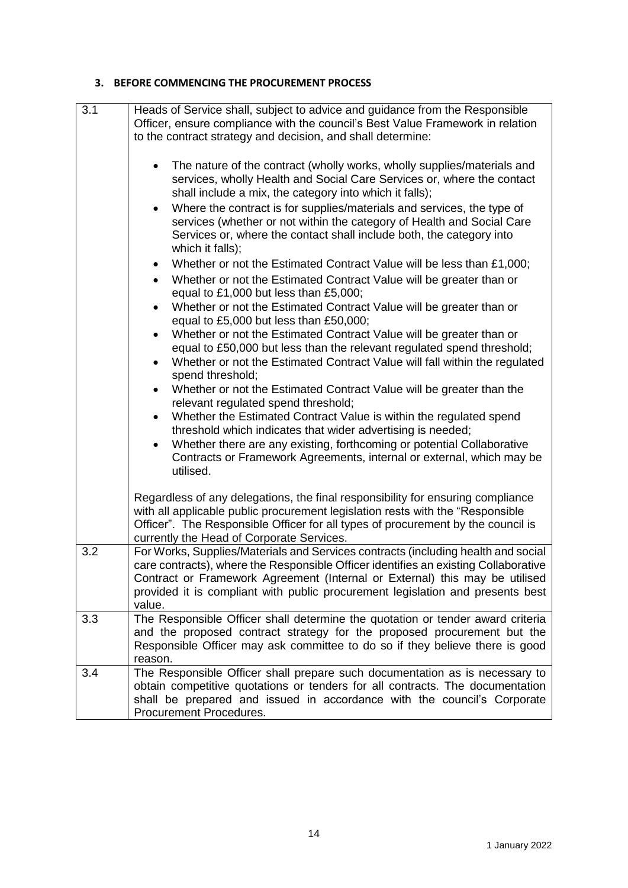#### **3. BEFORE COMMENCING THE PROCUREMENT PROCESS**

| 3.1 | Heads of Service shall, subject to advice and guidance from the Responsible<br>Officer, ensure compliance with the council's Best Value Framework in relation<br>to the contract strategy and decision, and shall determine:<br>The nature of the contract (wholly works, wholly supplies/materials and<br>$\bullet$<br>services, wholly Health and Social Care Services or, where the contact<br>shall include a mix, the category into which it falls);<br>Where the contract is for supplies/materials and services, the type of<br>$\bullet$<br>services (whether or not within the category of Health and Social Care<br>Services or, where the contact shall include both, the category into<br>which it falls);<br>Whether or not the Estimated Contract Value will be less than £1,000;<br>$\bullet$<br>Whether or not the Estimated Contract Value will be greater than or<br>$\bullet$<br>equal to £1,000 but less than £5,000;<br>Whether or not the Estimated Contract Value will be greater than or<br>$\bullet$<br>equal to £5,000 but less than £50,000;<br>Whether or not the Estimated Contract Value will be greater than or<br>$\bullet$<br>equal to £50,000 but less than the relevant regulated spend threshold;<br>Whether or not the Estimated Contract Value will fall within the regulated<br>$\bullet$<br>spend threshold;<br>Whether or not the Estimated Contract Value will be greater than the<br>$\bullet$<br>relevant regulated spend threshold;<br>Whether the Estimated Contract Value is within the regulated spend<br>$\bullet$<br>threshold which indicates that wider advertising is needed;<br>Whether there are any existing, forthcoming or potential Collaborative<br>$\bullet$<br>Contracts or Framework Agreements, internal or external, which may be<br>utilised. |
|-----|-----------------------------------------------------------------------------------------------------------------------------------------------------------------------------------------------------------------------------------------------------------------------------------------------------------------------------------------------------------------------------------------------------------------------------------------------------------------------------------------------------------------------------------------------------------------------------------------------------------------------------------------------------------------------------------------------------------------------------------------------------------------------------------------------------------------------------------------------------------------------------------------------------------------------------------------------------------------------------------------------------------------------------------------------------------------------------------------------------------------------------------------------------------------------------------------------------------------------------------------------------------------------------------------------------------------------------------------------------------------------------------------------------------------------------------------------------------------------------------------------------------------------------------------------------------------------------------------------------------------------------------------------------------------------------------------------------------------------------------------------------------------------------------------------------------------|
|     | Regardless of any delegations, the final responsibility for ensuring compliance<br>with all applicable public procurement legislation rests with the "Responsible"<br>Officer". The Responsible Officer for all types of procurement by the council is<br>currently the Head of Corporate Services.                                                                                                                                                                                                                                                                                                                                                                                                                                                                                                                                                                                                                                                                                                                                                                                                                                                                                                                                                                                                                                                                                                                                                                                                                                                                                                                                                                                                                                                                                                             |
| 3.2 | For Works, Supplies/Materials and Services contracts (including health and social<br>care contracts), where the Responsible Officer identifies an existing Collaborative<br>Contract or Framework Agreement (Internal or External) this may be utilised<br>provided it is compliant with public procurement legislation and presents best<br>value.                                                                                                                                                                                                                                                                                                                                                                                                                                                                                                                                                                                                                                                                                                                                                                                                                                                                                                                                                                                                                                                                                                                                                                                                                                                                                                                                                                                                                                                             |
| 3.3 | The Responsible Officer shall determine the quotation or tender award criteria<br>and the proposed contract strategy for the proposed procurement but the<br>Responsible Officer may ask committee to do so if they believe there is good<br>reason.                                                                                                                                                                                                                                                                                                                                                                                                                                                                                                                                                                                                                                                                                                                                                                                                                                                                                                                                                                                                                                                                                                                                                                                                                                                                                                                                                                                                                                                                                                                                                            |
| 3.4 | The Responsible Officer shall prepare such documentation as is necessary to<br>obtain competitive quotations or tenders for all contracts. The documentation<br>shall be prepared and issued in accordance with the council's Corporate<br>Procurement Procedures.                                                                                                                                                                                                                                                                                                                                                                                                                                                                                                                                                                                                                                                                                                                                                                                                                                                                                                                                                                                                                                                                                                                                                                                                                                                                                                                                                                                                                                                                                                                                              |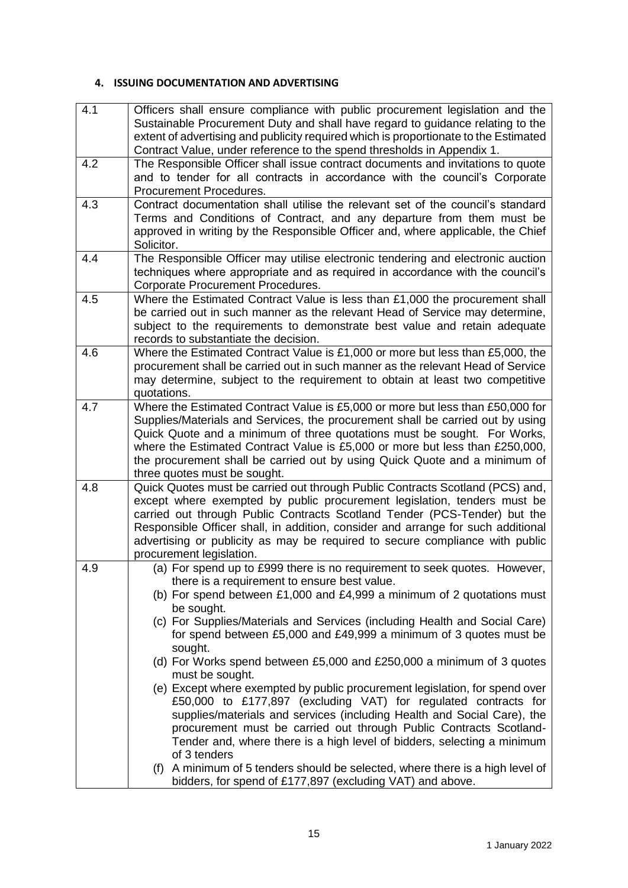#### **4. ISSUING DOCUMENTATION AND ADVERTISING**

| 4.1 | Officers shall ensure compliance with public procurement legislation and the         |
|-----|--------------------------------------------------------------------------------------|
|     | Sustainable Procurement Duty and shall have regard to guidance relating to the       |
|     | extent of advertising and publicity required which is proportionate to the Estimated |
|     | Contract Value, under reference to the spend thresholds in Appendix 1.               |
| 4.2 | The Responsible Officer shall issue contract documents and invitations to quote      |
|     | and to tender for all contracts in accordance with the council's Corporate           |
|     | Procurement Procedures.                                                              |
| 4.3 | Contract documentation shall utilise the relevant set of the council's standard      |
|     | Terms and Conditions of Contract, and any departure from them must be                |
|     | approved in writing by the Responsible Officer and, where applicable, the Chief      |
|     | Solicitor.                                                                           |
| 4.4 | The Responsible Officer may utilise electronic tendering and electronic auction      |
|     | techniques where appropriate and as required in accordance with the council's        |
|     | Corporate Procurement Procedures.                                                    |
| 4.5 | Where the Estimated Contract Value is less than £1,000 the procurement shall         |
|     | be carried out in such manner as the relevant Head of Service may determine,         |
|     | subject to the requirements to demonstrate best value and retain adequate            |
|     | records to substantiate the decision.                                                |
| 4.6 | Where the Estimated Contract Value is £1,000 or more but less than £5,000, the       |
|     | procurement shall be carried out in such manner as the relevant Head of Service      |
|     | may determine, subject to the requirement to obtain at least two competitive         |
|     | quotations.                                                                          |
| 4.7 | Where the Estimated Contract Value is £5,000 or more but less than £50,000 for       |
|     | Supplies/Materials and Services, the procurement shall be carried out by using       |
|     | Quick Quote and a minimum of three quotations must be sought. For Works,             |
|     | where the Estimated Contract Value is £5,000 or more but less than £250,000,         |
|     | the procurement shall be carried out by using Quick Quote and a minimum of           |
|     | three quotes must be sought.                                                         |
| 4.8 | Quick Quotes must be carried out through Public Contracts Scotland (PCS) and,        |
|     | except where exempted by public procurement legislation, tenders must be             |
|     | carried out through Public Contracts Scotland Tender (PCS-Tender) but the            |
|     | Responsible Officer shall, in addition, consider and arrange for such additional     |
|     | advertising or publicity as may be required to secure compliance with public         |
|     | procurement legislation.                                                             |
| 4.9 | (a) For spend up to £999 there is no requirement to seek quotes. However,            |
|     | there is a requirement to ensure best value.                                         |
|     | (b) For spend between £1,000 and £4,999 a minimum of 2 quotations must               |
|     | be sought.                                                                           |
|     | (c) For Supplies/Materials and Services (including Health and Social Care)           |
|     | for spend between £5,000 and £49,999 a minimum of 3 quotes must be                   |
|     | sought.                                                                              |
|     | (d) For Works spend between £5,000 and £250,000 a minimum of 3 quotes                |
|     | must be sought.                                                                      |
|     | (e) Except where exempted by public procurement legislation, for spend over          |
|     | £50,000 to £177,897 (excluding VAT) for regulated contracts for                      |
|     | supplies/materials and services (including Health and Social Care), the              |
|     | procurement must be carried out through Public Contracts Scotland-                   |
|     | Tender and, where there is a high level of bidders, selecting a minimum              |
|     | of 3 tenders                                                                         |
|     | (f) A minimum of 5 tenders should be selected, where there is a high level of        |
|     | bidders, for spend of £177,897 (excluding VAT) and above.                            |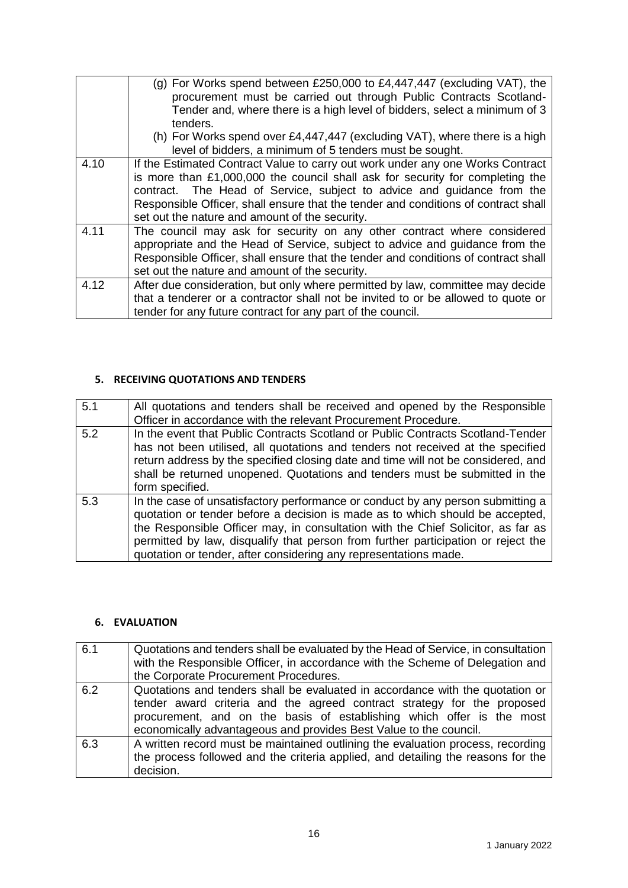|      | (g) For Works spend between £250,000 to £4,447,447 (excluding VAT), the<br>procurement must be carried out through Public Contracts Scotland-<br>Tender and, where there is a high level of bidders, select a minimum of 3<br>tenders.                                                                                                                                            |
|------|-----------------------------------------------------------------------------------------------------------------------------------------------------------------------------------------------------------------------------------------------------------------------------------------------------------------------------------------------------------------------------------|
|      | (h) For Works spend over £4,447,447 (excluding VAT), where there is a high<br>level of bidders, a minimum of 5 tenders must be sought.                                                                                                                                                                                                                                            |
| 4.10 | If the Estimated Contract Value to carry out work under any one Works Contract<br>is more than £1,000,000 the council shall ask for security for completing the<br>contract. The Head of Service, subject to advice and guidance from the<br>Responsible Officer, shall ensure that the tender and conditions of contract shall<br>set out the nature and amount of the security. |
| 4.11 | The council may ask for security on any other contract where considered<br>appropriate and the Head of Service, subject to advice and guidance from the<br>Responsible Officer, shall ensure that the tender and conditions of contract shall<br>set out the nature and amount of the security.                                                                                   |
| 4.12 | After due consideration, but only where permitted by law, committee may decide<br>that a tenderer or a contractor shall not be invited to or be allowed to quote or<br>tender for any future contract for any part of the council.                                                                                                                                                |

## **5. RECEIVING QUOTATIONS AND TENDERS**

| 5.1 | All quotations and tenders shall be received and opened by the Responsible                                                                                                                                                                           |
|-----|------------------------------------------------------------------------------------------------------------------------------------------------------------------------------------------------------------------------------------------------------|
|     | Officer in accordance with the relevant Procurement Procedure.                                                                                                                                                                                       |
| 5.2 | In the event that Public Contracts Scotland or Public Contracts Scotland-Tender                                                                                                                                                                      |
|     | has not been utilised, all quotations and tenders not received at the specified                                                                                                                                                                      |
|     | return address by the specified closing date and time will not be considered, and                                                                                                                                                                    |
|     | shall be returned unopened. Quotations and tenders must be submitted in the                                                                                                                                                                          |
|     | form specified.                                                                                                                                                                                                                                      |
| 5.3 | In the case of unsatisfactory performance or conduct by any person submitting a<br>quotation or tender before a decision is made as to which should be accepted,<br>the Responsible Officer may, in consultation with the Chief Solicitor, as far as |
|     | permitted by law, disqualify that person from further participation or reject the                                                                                                                                                                    |
|     | quotation or tender, after considering any representations made.                                                                                                                                                                                     |

### **6. EVALUATION**

| 6.1 | Quotations and tenders shall be evaluated by the Head of Service, in consultation<br>with the Responsible Officer, in accordance with the Scheme of Delegation and<br>the Corporate Procurement Procedures.                                                                                            |
|-----|--------------------------------------------------------------------------------------------------------------------------------------------------------------------------------------------------------------------------------------------------------------------------------------------------------|
| 6.2 | Quotations and tenders shall be evaluated in accordance with the quotation or<br>tender award criteria and the agreed contract strategy for the proposed<br>procurement, and on the basis of establishing which offer is the most<br>economically advantageous and provides Best Value to the council. |
| 6.3 | A written record must be maintained outlining the evaluation process, recording<br>the process followed and the criteria applied, and detailing the reasons for the<br>decision.                                                                                                                       |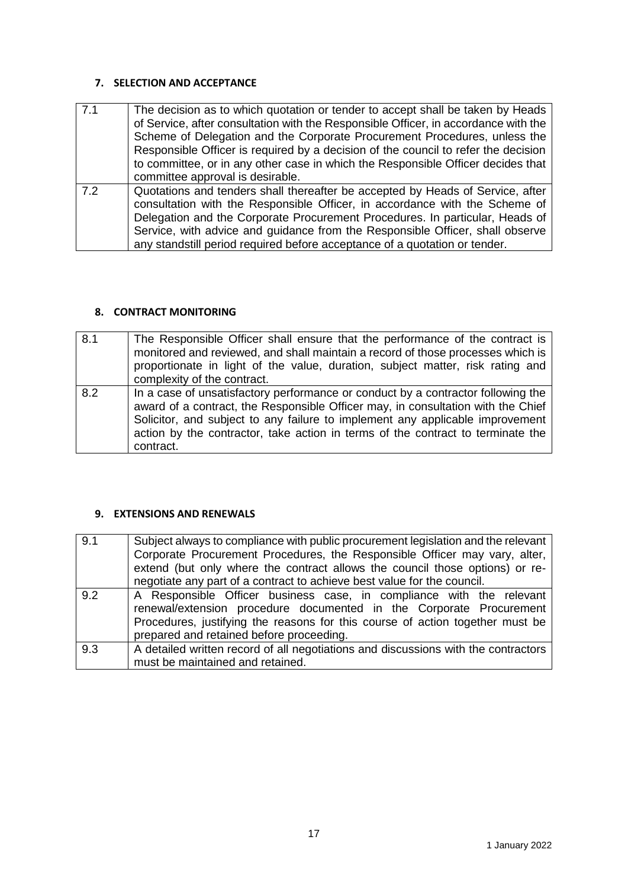#### **7. SELECTION AND ACCEPTANCE**

| 7.1 | The decision as to which quotation or tender to accept shall be taken by Heads<br>of Service, after consultation with the Responsible Officer, in accordance with the<br>Scheme of Delegation and the Corporate Procurement Procedures, unless the<br>Responsible Officer is required by a decision of the council to refer the decision<br>to committee, or in any other case in which the Responsible Officer decides that<br>committee approval is desirable. |
|-----|------------------------------------------------------------------------------------------------------------------------------------------------------------------------------------------------------------------------------------------------------------------------------------------------------------------------------------------------------------------------------------------------------------------------------------------------------------------|
| 7.2 | Quotations and tenders shall thereafter be accepted by Heads of Service, after<br>consultation with the Responsible Officer, in accordance with the Scheme of<br>Delegation and the Corporate Procurement Procedures. In particular, Heads of<br>Service, with advice and guidance from the Responsible Officer, shall observe<br>any standstill period required before acceptance of a quotation or tender.                                                     |

#### **8. CONTRACT MONITORING**

| 8.1 | The Responsible Officer shall ensure that the performance of the contract is<br>monitored and reviewed, and shall maintain a record of those processes which is<br>proportionate in light of the value, duration, subject matter, risk rating and<br>complexity of the contract.                                                                      |
|-----|-------------------------------------------------------------------------------------------------------------------------------------------------------------------------------------------------------------------------------------------------------------------------------------------------------------------------------------------------------|
| 8.2 | In a case of unsatisfactory performance or conduct by a contractor following the<br>award of a contract, the Responsible Officer may, in consultation with the Chief<br>Solicitor, and subject to any failure to implement any applicable improvement<br>action by the contractor, take action in terms of the contract to terminate the<br>contract. |

#### **9. EXTENSIONS AND RENEWALS**

| 9.1 | Subject always to compliance with public procurement legislation and the relevant<br>Corporate Procurement Procedures, the Responsible Officer may vary, alter,<br>extend (but only where the contract allows the council those options) or re-<br>negotiate any part of a contract to achieve best value for the council. |
|-----|----------------------------------------------------------------------------------------------------------------------------------------------------------------------------------------------------------------------------------------------------------------------------------------------------------------------------|
| 9.2 | A Responsible Officer business case, in compliance with the relevant<br>renewal/extension procedure documented in the Corporate Procurement<br>Procedures, justifying the reasons for this course of action together must be<br>prepared and retained before proceeding.                                                   |
| 9.3 | A detailed written record of all negotiations and discussions with the contractors<br>must be maintained and retained.                                                                                                                                                                                                     |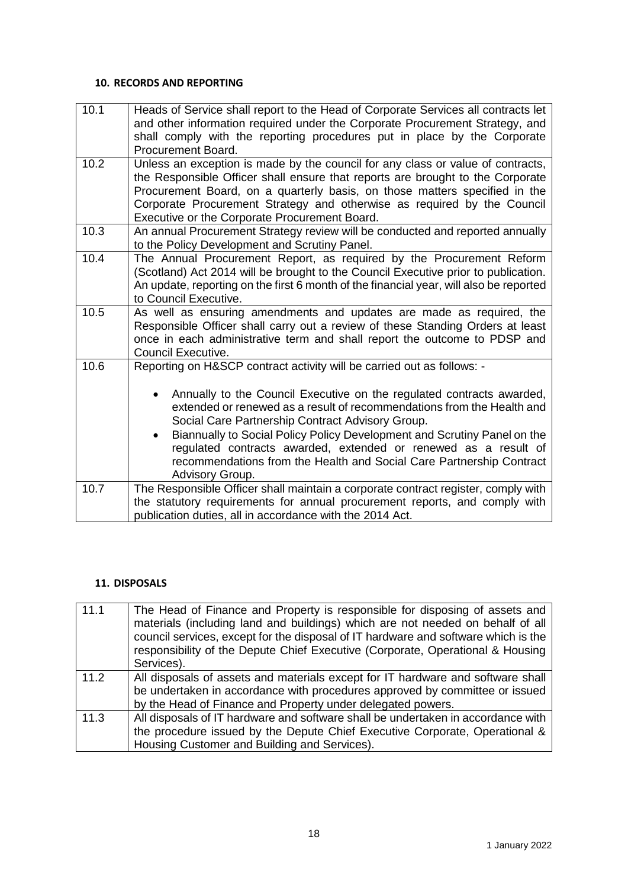#### **10. RECORDS AND REPORTING**

| 10.1 | Heads of Service shall report to the Head of Corporate Services all contracts let<br>and other information required under the Corporate Procurement Strategy, and<br>shall comply with the reporting procedures put in place by the Corporate<br>Procurement Board.                                                                                                         |
|------|-----------------------------------------------------------------------------------------------------------------------------------------------------------------------------------------------------------------------------------------------------------------------------------------------------------------------------------------------------------------------------|
| 10.2 | Unless an exception is made by the council for any class or value of contracts,<br>the Responsible Officer shall ensure that reports are brought to the Corporate<br>Procurement Board, on a quarterly basis, on those matters specified in the<br>Corporate Procurement Strategy and otherwise as required by the Council<br>Executive or the Corporate Procurement Board. |
| 10.3 | An annual Procurement Strategy review will be conducted and reported annually<br>to the Policy Development and Scrutiny Panel.                                                                                                                                                                                                                                              |
| 10.4 | The Annual Procurement Report, as required by the Procurement Reform<br>(Scotland) Act 2014 will be brought to the Council Executive prior to publication.<br>An update, reporting on the first 6 month of the financial year, will also be reported<br>to Council Executive.                                                                                               |
| 10.5 | As well as ensuring amendments and updates are made as required, the<br>Responsible Officer shall carry out a review of these Standing Orders at least<br>once in each administrative term and shall report the outcome to PDSP and<br>Council Executive.                                                                                                                   |
| 10.6 | Reporting on H&SCP contract activity will be carried out as follows: -                                                                                                                                                                                                                                                                                                      |
|      | Annually to the Council Executive on the regulated contracts awarded,<br>$\bullet$<br>extended or renewed as a result of recommendations from the Health and<br>Social Care Partnership Contract Advisory Group.                                                                                                                                                            |
|      | Biannually to Social Policy Policy Development and Scrutiny Panel on the<br>$\bullet$<br>regulated contracts awarded, extended or renewed as a result of<br>recommendations from the Health and Social Care Partnership Contract<br>Advisory Group.                                                                                                                         |
| 10.7 | The Responsible Officer shall maintain a corporate contract register, comply with<br>the statutory requirements for annual procurement reports, and comply with<br>publication duties, all in accordance with the 2014 Act.                                                                                                                                                 |

#### **11. DISPOSALS**

| 11.1 | The Head of Finance and Property is responsible for disposing of assets and<br>materials (including land and buildings) which are not needed on behalf of all<br>council services, except for the disposal of IT hardware and software which is the<br>responsibility of the Depute Chief Executive (Corporate, Operational & Housing<br>Services). |
|------|-----------------------------------------------------------------------------------------------------------------------------------------------------------------------------------------------------------------------------------------------------------------------------------------------------------------------------------------------------|
| 11.2 | All disposals of assets and materials except for IT hardware and software shall<br>be undertaken in accordance with procedures approved by committee or issued                                                                                                                                                                                      |
|      | by the Head of Finance and Property under delegated powers.                                                                                                                                                                                                                                                                                         |
| 11.3 | All disposals of IT hardware and software shall be undertaken in accordance with                                                                                                                                                                                                                                                                    |
|      | the procedure issued by the Depute Chief Executive Corporate, Operational &                                                                                                                                                                                                                                                                         |
|      | Housing Customer and Building and Services).                                                                                                                                                                                                                                                                                                        |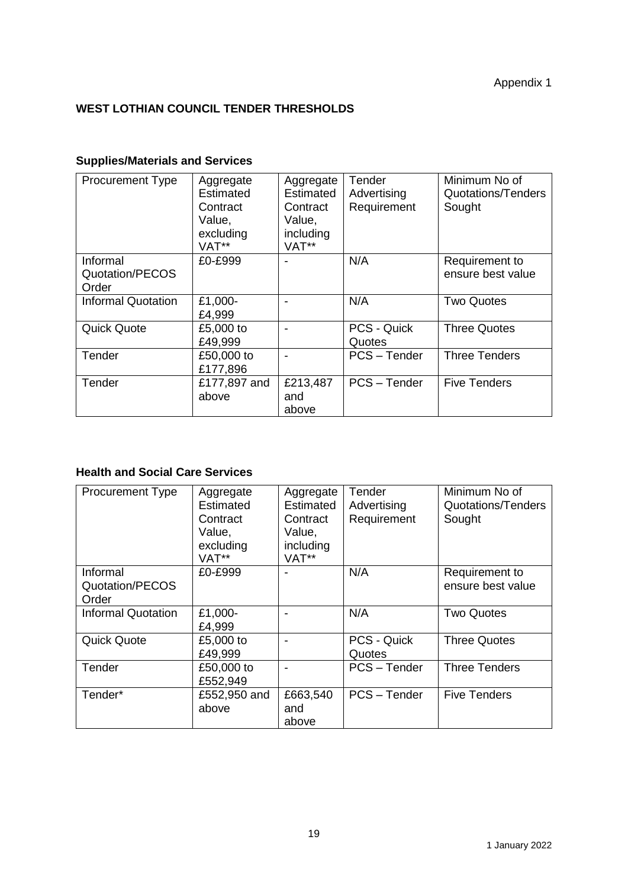# **WEST LOTHIAN COUNCIL TENDER THRESHOLDS**

# **Supplies/Materials and Services**

| <b>Procurement Type</b>              | Aggregate<br>Estimated<br>Contract<br>Value,<br>excluding<br>VAT** | Aggregate<br>Estimated<br>Contract<br>Value,<br>including<br>VAT** | Tender<br>Advertising<br>Requirement | Minimum No of<br>Quotations/Tenders<br>Sought |
|--------------------------------------|--------------------------------------------------------------------|--------------------------------------------------------------------|--------------------------------------|-----------------------------------------------|
| Informal<br>Quotation/PECOS<br>Order | £0-£999                                                            |                                                                    | N/A                                  | Requirement to<br>ensure best value           |
| <b>Informal Quotation</b>            | £1,000-<br>£4,999                                                  |                                                                    | N/A                                  | <b>Two Quotes</b>                             |
| <b>Quick Quote</b>                   | £5,000 to<br>£49,999                                               |                                                                    | <b>PCS - Quick</b><br>Quotes         | <b>Three Quotes</b>                           |
| Tender                               | £50,000 to<br>£177,896                                             |                                                                    | PCS-Tender                           | <b>Three Tenders</b>                          |
| Tender                               | £177,897 and<br>above                                              | £213,487<br>and<br>above                                           | PCS - Tender                         | <b>Five Tenders</b>                           |

### **Health and Social Care Services**

| <b>Procurement Type</b>              | Aggregate<br><b>Estimated</b><br>Contract<br>Value,<br>excluding<br>VAT** | Aggregate<br>Estimated<br>Contract<br>Value,<br>including<br>VAT** | Tender<br>Advertising<br>Requirement | Minimum No of<br>Quotations/Tenders<br>Sought |
|--------------------------------------|---------------------------------------------------------------------------|--------------------------------------------------------------------|--------------------------------------|-----------------------------------------------|
| Informal<br>Quotation/PECOS<br>Order | £0-£999                                                                   |                                                                    | N/A                                  | Requirement to<br>ensure best value           |
| <b>Informal Quotation</b>            | £1,000-<br>£4,999                                                         |                                                                    | N/A                                  | <b>Two Quotes</b>                             |
| <b>Quick Quote</b>                   | £5,000 to<br>£49,999                                                      |                                                                    | PCS - Quick<br>Quotes                | <b>Three Quotes</b>                           |
| Tender                               | £50,000 to<br>£552,949                                                    |                                                                    | PCS - Tender                         | <b>Three Tenders</b>                          |
| Tender*                              | £552,950 and<br>above                                                     | £663,540<br>and<br>above                                           | PCS-Tender                           | <b>Five Tenders</b>                           |